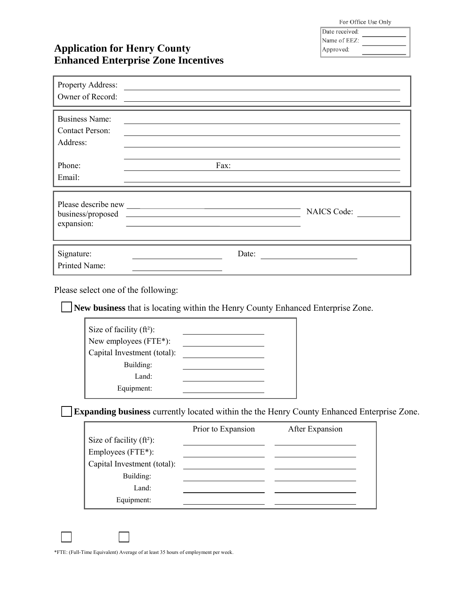For Office Use Only

| Date received: |  |
|----------------|--|
| Name of EEZ:   |  |
| Approved:      |  |

## **Application for Henry County Enhanced Enterprise Zone Incentives**

| Property Address:<br>Owner of Record:                       |                                                                                                                                                                  |  |
|-------------------------------------------------------------|------------------------------------------------------------------------------------------------------------------------------------------------------------------|--|
| <b>Business Name:</b><br><b>Contact Person:</b><br>Address: |                                                                                                                                                                  |  |
| Phone:<br>Email:                                            | Fax:                                                                                                                                                             |  |
| expansion:                                                  | <b>NAICS Code:</b><br>business/proposed<br><u> 1989 - Johann Harry Harry Harry Harry Harry Harry Harry Harry Harry Harry Harry Harry Harry Harry Harry Harry</u> |  |
| Signature:<br>Printed Name:                                 | Date:                                                                                                                                                            |  |

Please select one of the following:

**New business** that is locating within the Henry County Enhanced Enterprise Zone.

| Size of facility $(ft^2)$ :<br>New employees $(FTE^*)$ : |  |
|----------------------------------------------------------|--|
| Capital Investment (total):                              |  |
| Building:                                                |  |
| Land:                                                    |  |
| Equipment:                                               |  |

; **Expanding business** currently located within the the Henry County Enhanced Enterprise Zone.

|                             | Prior to Expansion | After Expansion |
|-----------------------------|--------------------|-----------------|
| Size of facility $(ft^2)$ : |                    |                 |
| Employees $(FTE^*)$ :       |                    |                 |
| Capital Investment (total): |                    |                 |
| Building:                   |                    |                 |
| Land:                       |                    |                 |
| Equipment:                  |                    |                 |

\*FTE: (Full-Time Equivalent) Average of at least 35 hours of employment per week.